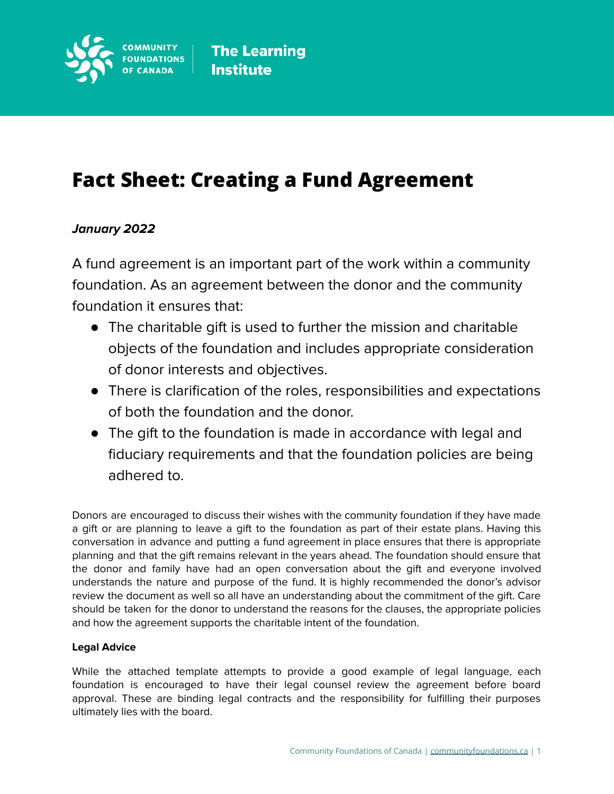

# **Fact Sheet: Creating a Fund Agreement**

## **January 2022**

A fund agreement is an important part of the work within a community foundation. As an agreement between the donor and the community foundation it ensures that:

- The charitable gift is used to further the mission and charitable objects of the foundation and includes appropriate consideration of donor interests and objectives.
- There is clarification of the roles, responsibilities and expectations of both the foundation and the donor.
- The gift to the foundation is made in accordance with legal and fiduciary requirements and that the foundation policies are being adhered to.

Donors are encouraged to discuss their wishes with the community foundation if they have made a gift or are planning to leave a gift to the foundation as part of their estate plans. Having this conversation in advance and putting a fund agreement in place ensures that there is appropriate planning and that the gift remains relevant in the years ahead. The foundation should ensure that the donor and family have had an open conversation about the gift and everyone involved understands the nature and purpose of the fund. It is highly recommended the donor's advisor review the document as well so all have an understanding about the commitment of the gift. Care should be taken for the donor to understand the reasons for the clauses, the appropriate policies and how the agreement supports the charitable intent of the foundation.

#### **Legal Advice**

While the attached template attempts to provide a good example of legal language, each foundation is encouraged to have their legal counsel review the agreement before board approval. These are binding legal contracts and the responsibility for fulfilling their purposes ultimately lies with the board.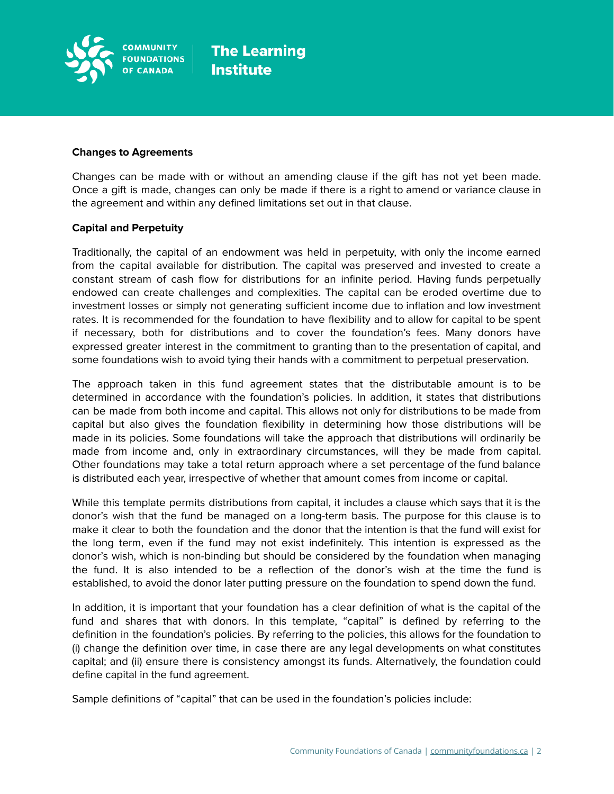

#### **Changes to Agreements**

Changes can be made with or without an amending clause if the gift has not yet been made. Once a gift is made, changes can only be made if there is a right to amend or variance clause in the agreement and within any defined limitations set out in that clause.

#### **Capital and Perpetuity**

Traditionally, the capital of an endowment was held in perpetuity, with only the income earned from the capital available for distribution. The capital was preserved and invested to create a constant stream of cash flow for distributions for an infinite period. Having funds perpetually endowed can create challenges and complexities. The capital can be eroded overtime due to investment losses or simply not generating sufficient income due to inflation and low investment rates. It is recommended for the foundation to have flexibility and to allow for capital to be spent if necessary, both for distributions and to cover the foundation's fees. Many donors have expressed greater interest in the commitment to granting than to the presentation of capital, and some foundations wish to avoid tying their hands with a commitment to perpetual preservation.

The approach taken in this fund agreement states that the distributable amount is to be determined in accordance with the foundation's policies. In addition, it states that distributions can be made from both income and capital. This allows not only for distributions to be made from capital but also gives the foundation flexibility in determining how those distributions will be made in its policies. Some foundations will take the approach that distributions will ordinarily be made from income and, only in extraordinary circumstances, will they be made from capital. Other foundations may take a total return approach where a set percentage of the fund balance is distributed each year, irrespective of whether that amount comes from income or capital.

While this template permits distributions from capital, it includes a clause which says that it is the donor's wish that the fund be managed on a long-term basis. The purpose for this clause is to make it clear to both the foundation and the donor that the intention is that the fund will exist for the long term, even if the fund may not exist indefinitely. This intention is expressed as the donor's wish, which is non-binding but should be considered by the foundation when managing the fund. It is also intended to be a reflection of the donor's wish at the time the fund is established, to avoid the donor later putting pressure on the foundation to spend down the fund.

In addition, it is important that your foundation has a clear definition of what is the capital of the fund and shares that with donors. In this template, "capital" is defined by referring to the definition in the foundation's policies. By referring to the policies, this allows for the foundation to (i) change the definition over time, in case there are any legal developments on what constitutes capital; and (ii) ensure there is consistency amongst its funds. Alternatively, the foundation could define capital in the fund agreement.

Sample definitions of "capital" that can be used in the foundation's policies include: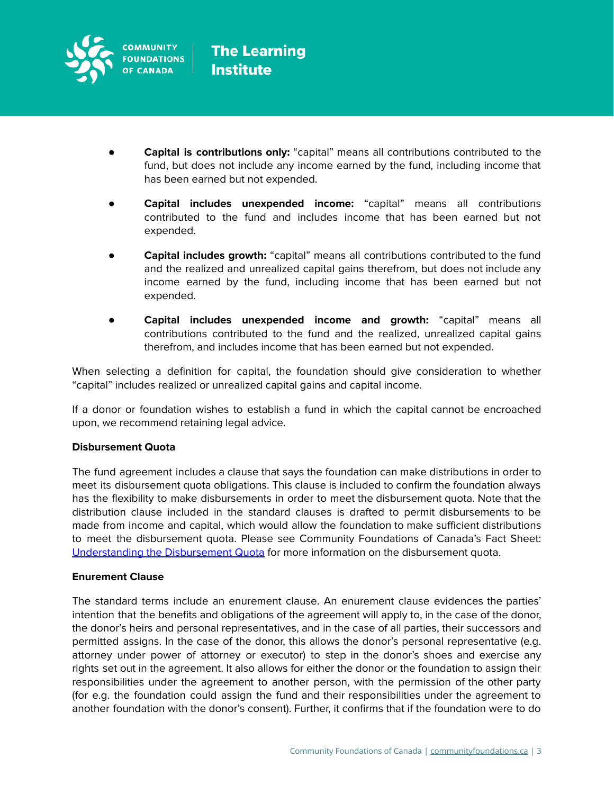

- **Capital is contributions only:** "capital" means all contributions contributed to the fund, but does not include any income earned by the fund, including income that has been earned but not expended.
- **Capital includes unexpended income:** "capital" means all contributions contributed to the fund and includes income that has been earned but not expended.
- **Capital includes growth:** "capital" means all contributions contributed to the fund and the realized and unrealized capital gains therefrom, but does not include any income earned by the fund, including income that has been earned but not expended.
- **Capital includes unexpended income and growth:** "capital" means all contributions contributed to the fund and the realized, unrealized capital gains therefrom, and includes income that has been earned but not expended.

When selecting a definition for capital, the foundation should give consideration to whether "capital" includes realized or unrealized capital gains and capital income.

If a donor or foundation wishes to establish a fund in which the capital cannot be encroached upon, we recommend retaining legal advice.

#### **Disbursement Quota**

The fund agreement includes a clause that says the foundation can make distributions in order to meet its disbursement quota obligations. This clause is included to confirm the foundation always has the flexibility to make disbursements in order to meet the disbursement quota. Note that the distribution clause included in the standard clauses is drafted to permit disbursements to be made from income and capital, which would allow the foundation to make sufficient distributions to meet the disbursement quota. Please see Community Foundations of Canada's Fact Sheet: [Understanding](https://communityfoundations.ca/wp-content/uploads/2021/03/Disbursement-Quota-Fact-Sheet.pdf) the Disbursement Quota for more information on the disbursement quota.

#### **Enurement Clause**

The standard terms include an enurement clause. An enurement clause evidences the parties' intention that the benefits and obligations of the agreement will apply to, in the case of the donor, the donor's heirs and personal representatives, and in the case of all parties, their successors and permitted assigns. In the case of the donor, this allows the donor's personal representative (e.g. attorney under power of attorney or executor) to step in the donor's shoes and exercise any rights set out in the agreement. It also allows for either the donor or the foundation to assign their responsibilities under the agreement to another person, with the permission of the other party (for e.g. the foundation could assign the fund and their responsibilities under the agreement to another foundation with the donor's consent). Further, it confirms that if the foundation were to do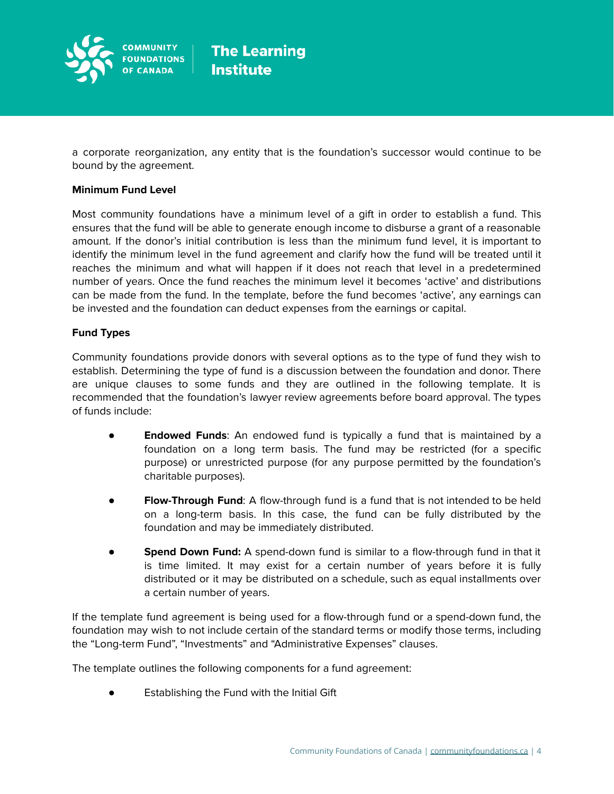

a corporate reorganization, any entity that is the foundation's successor would continue to be bound by the agreement.

#### **Minimum Fund Level**

Most community foundations have a minimum level of a gift in order to establish a fund. This ensures that the fund will be able to generate enough income to disburse a grant of a reasonable amount. If the donor's initial contribution is less than the minimum fund level, it is important to identify the minimum level in the fund agreement and clarify how the fund will be treated until it reaches the minimum and what will happen if it does not reach that level in a predetermined number of years. Once the fund reaches the minimum level it becomes 'active' and distributions can be made from the fund. In the template, before the fund becomes 'active', any earnings can be invested and the foundation can deduct expenses from the earnings or capital.

#### **Fund Types**

Community foundations provide donors with several options as to the type of fund they wish to establish. Determining the type of fund is a discussion between the foundation and donor. There are unique clauses to some funds and they are outlined in the following template. It is recommended that the foundation's lawyer review agreements before board approval. The types of funds include:

- **Endowed Funds:** An endowed fund is typically a fund that is maintained by a foundation on a long term basis. The fund may be restricted (for a specific purpose) or unrestricted purpose (for any purpose permitted by the foundation's charitable purposes).
- **● Flow-Through Fund**: A flow-through fund is a fund that is not intended to be held on a long-term basis. In this case, the fund can be fully distributed by the foundation and may be immediately distributed.
- **Spend Down Fund:** A spend-down fund is similar to a flow-through fund in that it is time limited. It may exist for a certain number of years before it is fully distributed or it may be distributed on a schedule, such as equal installments over a certain number of years.

If the template fund agreement is being used for a flow-through fund or a spend-down fund, the foundation may wish to not include certain of the standard terms or modify those terms, including the "Long-term Fund", "Investments" and "Administrative Expenses" clauses.

The template outlines the following components for a fund agreement:

Establishing the Fund with the Initial Gift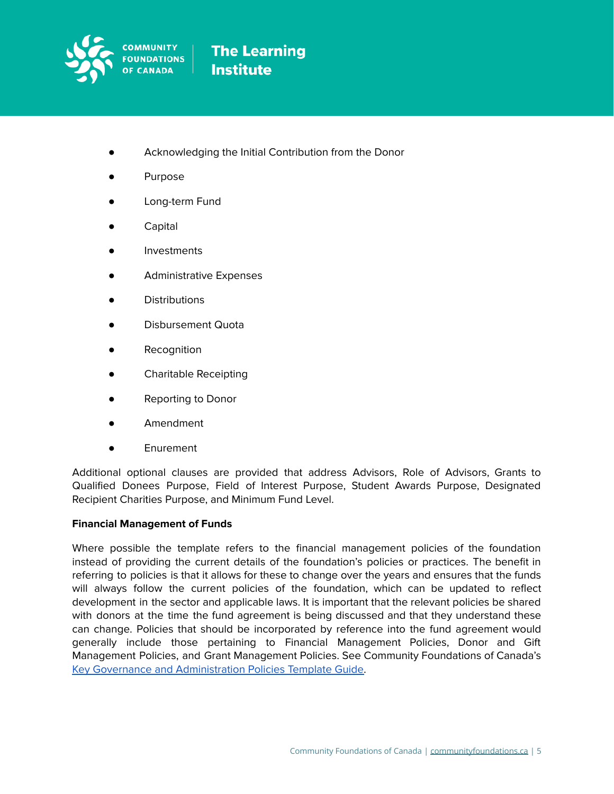

- Acknowledging the Initial Contribution from the Donor
- **Purpose**
- Long-term Fund
- **Capital**
- **Investments**
- Administrative Expenses
- **Distributions**
- Disbursement Quota
- Recognition
- Charitable Receipting
- **Reporting to Donor**
- **Amendment**
- Enurement

Additional optional clauses are provided that address Advisors, Role of Advisors, Grants to Qualified Donees Purpose, Field of Interest Purpose, Student Awards Purpose, Designated Recipient Charities Purpose, and Minimum Fund Level.

#### **Financial Management of Funds**

Where possible the template refers to the financial management policies of the foundation instead of providing the current details of the foundation's policies or practices. The benefit in referring to policies is that it allows for these to change over the years and ensures that the funds will always follow the current policies of the foundation, which can be updated to reflect development in the sector and applicable laws. It is important that the relevant policies be shared with donors at the time the fund agreement is being discussed and that they understand these can change. Policies that should be incorporated by reference into the fund agreement would generally include those pertaining to Financial Management Policies, Donor and Gift Management Policies, and Grant Management Policies. See Community Foundations of Canada's Key Governance and [Administration](https://communityfoundations.ca/wp-content/uploads/2021/08/Key-Governance-and-Administration-Policies_-Template-Guide-for-Canadian-Community-Foundations.pdf) Policies Template Guide.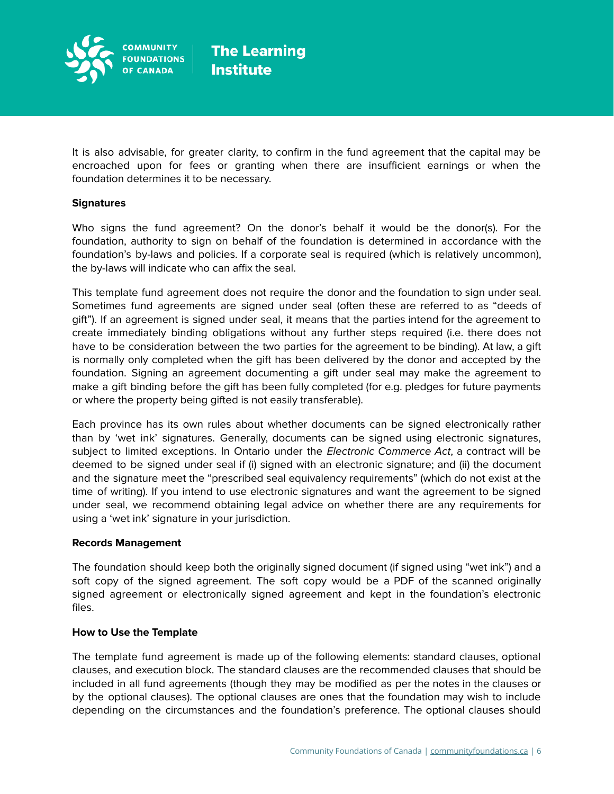

It is also advisable, for greater clarity, to confirm in the fund agreement that the capital may be encroached upon for fees or granting when there are insufficient earnings or when the foundation determines it to be necessary.

#### **Signatures**

Who signs the fund agreement? On the donor's behalf it would be the donor(s). For the foundation, authority to sign on behalf of the foundation is determined in accordance with the foundation's by-laws and policies. If a corporate seal is required (which is relatively uncommon), the by-laws will indicate who can affix the seal.

This template fund agreement does not require the donor and the foundation to sign under seal. Sometimes fund agreements are signed under seal (often these are referred to as "deeds of gift"). If an agreement is signed under seal, it means that the parties intend for the agreement to create immediately binding obligations without any further steps required (i.e. there does not have to be consideration between the two parties for the agreement to be binding). At law, a gift is normally only completed when the gift has been delivered by the donor and accepted by the foundation. Signing an agreement documenting a gift under seal may make the agreement to make a gift binding before the gift has been fully completed (for e.g. pledges for future payments or where the property being gifted is not easily transferable).

Each province has its own rules about whether documents can be signed electronically rather than by 'wet ink' signatures. Generally, documents can be signed using electronic signatures, subject to limited exceptions. In Ontario under the Electronic Commerce Act, a contract will be deemed to be signed under seal if (i) signed with an electronic signature; and (ii) the document and the signature meet the "prescribed seal equivalency requirements" (which do not exist at the time of writing). If you intend to use electronic signatures and want the agreement to be signed under seal, we recommend obtaining legal advice on whether there are any requirements for using a 'wet ink' signature in your jurisdiction.

#### **Records Management**

The foundation should keep both the originally signed document (if signed using "wet ink") and a soft copy of the signed agreement. The soft copy would be a PDF of the scanned originally signed agreement or electronically signed agreement and kept in the foundation's electronic files.

#### **How to Use the Template**

The template fund agreement is made up of the following elements: standard clauses, optional clauses, and execution block. The standard clauses are the recommended clauses that should be included in all fund agreements (though they may be modified as per the notes in the clauses or by the optional clauses). The optional clauses are ones that the foundation may wish to include depending on the circumstances and the foundation's preference. The optional clauses should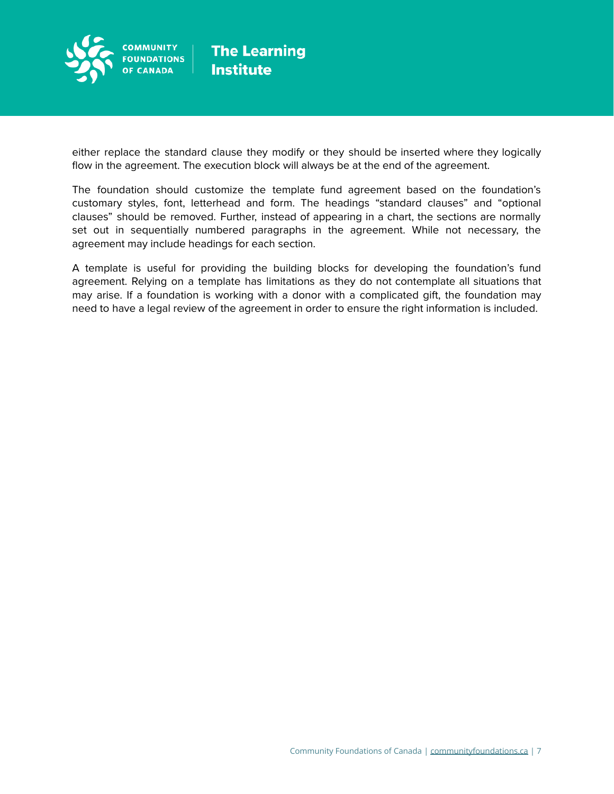

either replace the standard clause they modify or they should be inserted where they logically flow in the agreement. The execution block will always be at the end of the agreement.

The foundation should customize the template fund agreement based on the foundation's customary styles, font, letterhead and form. The headings "standard clauses" and "optional clauses" should be removed. Further, instead of appearing in a chart, the sections are normally set out in sequentially numbered paragraphs in the agreement. While not necessary, the agreement may include headings for each section.

A template is useful for providing the building blocks for developing the foundation's fund agreement. Relying on a template has limitations as they do not contemplate all situations that may arise. If a foundation is working with a donor with a complicated gift, the foundation may need to have a legal review of the agreement in order to ensure the right information is included.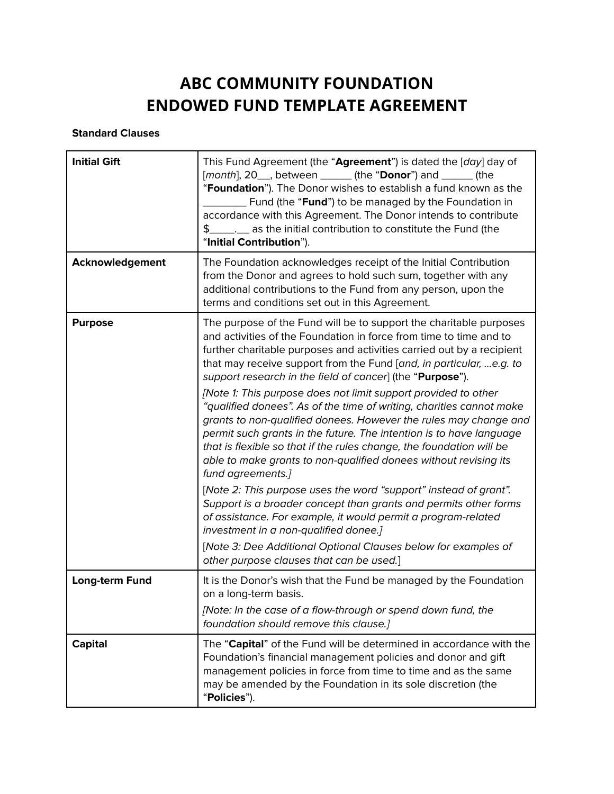## **ABC COMMUNITY FOUNDATION ENDOWED FUND TEMPLATE AGREEMENT**

#### **Standard Clauses**

| <b>Initial Gift</b> | This Fund Agreement (the "Agreement") is dated the [day] day of<br>[month], 20_, between _____ (the "Donor") and _____ (the<br>"Foundation"). The Donor wishes to establish a fund known as the<br>Fund (the "Fund") to be managed by the Foundation in<br>accordance with this Agreement. The Donor intends to contribute<br>$\frac{1}{2}$<br>as the initial contribution to constitute the Fund (the<br>"Initial Contribution").                                                                                                                                                                                                                                                                                                                                                                                                                                                                                                                                                                                                                                                                                                                                          |
|---------------------|-----------------------------------------------------------------------------------------------------------------------------------------------------------------------------------------------------------------------------------------------------------------------------------------------------------------------------------------------------------------------------------------------------------------------------------------------------------------------------------------------------------------------------------------------------------------------------------------------------------------------------------------------------------------------------------------------------------------------------------------------------------------------------------------------------------------------------------------------------------------------------------------------------------------------------------------------------------------------------------------------------------------------------------------------------------------------------------------------------------------------------------------------------------------------------|
| Acknowledgement     | The Foundation acknowledges receipt of the Initial Contribution<br>from the Donor and agrees to hold such sum, together with any<br>additional contributions to the Fund from any person, upon the<br>terms and conditions set out in this Agreement.                                                                                                                                                                                                                                                                                                                                                                                                                                                                                                                                                                                                                                                                                                                                                                                                                                                                                                                       |
| <b>Purpose</b>      | The purpose of the Fund will be to support the charitable purposes<br>and activities of the Foundation in force from time to time and to<br>further charitable purposes and activities carried out by a recipient<br>that may receive support from the Fund [and, in particular, e.g. to<br>support research in the field of cancer] (the "Purpose").<br>[Note 1: This purpose does not limit support provided to other<br>"qualified donees". As of the time of writing, charities cannot make<br>grants to non-qualified donees. However the rules may change and<br>permit such grants in the future. The intention is to have language<br>that is flexible so that if the rules change, the foundation will be<br>able to make grants to non-qualified donees without revising its<br>fund agreements.]<br>[Note 2: This purpose uses the word "support" instead of grant".<br>Support is a broader concept than grants and permits other forms<br>of assistance. For example, it would permit a program-related<br>investment in a non-qualified donee.]<br>[Note 3: Dee Additional Optional Clauses below for examples of<br>other purpose clauses that can be used.] |
| Long-term Fund      | It is the Donor's wish that the Fund be managed by the Foundation<br>on a long-term basis.<br>[Note: In the case of a flow-through or spend down fund, the<br>foundation should remove this clause.]                                                                                                                                                                                                                                                                                                                                                                                                                                                                                                                                                                                                                                                                                                                                                                                                                                                                                                                                                                        |
| <b>Capital</b>      | The "Capital" of the Fund will be determined in accordance with the<br>Foundation's financial management policies and donor and gift<br>management policies in force from time to time and as the same<br>may be amended by the Foundation in its sole discretion (the<br>"Policies").                                                                                                                                                                                                                                                                                                                                                                                                                                                                                                                                                                                                                                                                                                                                                                                                                                                                                      |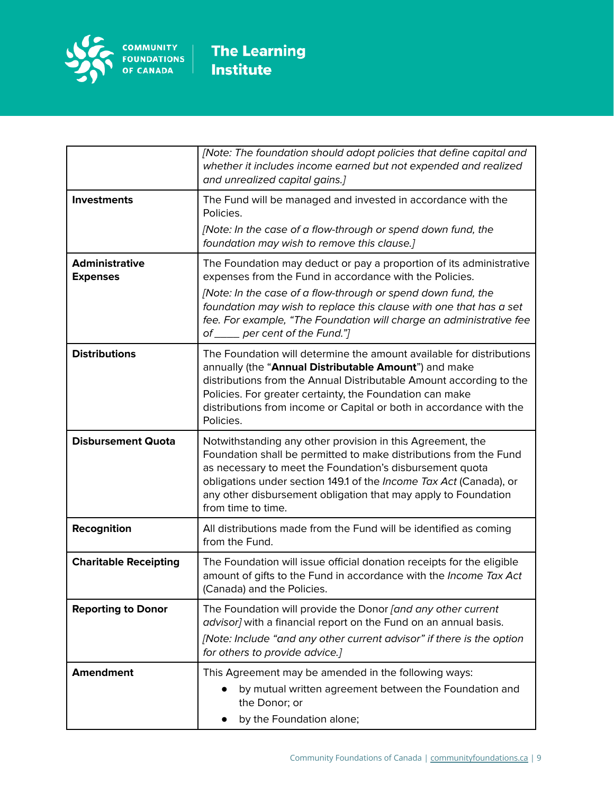

|                                          | [Note: The foundation should adopt policies that define capital and<br>whether it includes income earned but not expended and realized<br>and unrealized capital gains.]                                                                                                                                                                                                       |
|------------------------------------------|--------------------------------------------------------------------------------------------------------------------------------------------------------------------------------------------------------------------------------------------------------------------------------------------------------------------------------------------------------------------------------|
| <b>Investments</b>                       | The Fund will be managed and invested in accordance with the<br>Policies.<br>[Note: In the case of a flow-through or spend down fund, the<br>foundation may wish to remove this clause.]                                                                                                                                                                                       |
| <b>Administrative</b><br><b>Expenses</b> | The Foundation may deduct or pay a proportion of its administrative<br>expenses from the Fund in accordance with the Policies.<br>[Note: In the case of a flow-through or spend down fund, the<br>foundation may wish to replace this clause with one that has a set<br>fee. For example, "The Foundation will charge an administrative fee<br>of ____ per cent of the Fund."] |
| <b>Distributions</b>                     | The Foundation will determine the amount available for distributions<br>annually (the "Annual Distributable Amount") and make<br>distributions from the Annual Distributable Amount according to the<br>Policies. For greater certainty, the Foundation can make<br>distributions from income or Capital or both in accordance with the<br>Policies.                           |
| <b>Disbursement Quota</b>                | Notwithstanding any other provision in this Agreement, the<br>Foundation shall be permitted to make distributions from the Fund<br>as necessary to meet the Foundation's disbursement quota<br>obligations under section 149.1 of the Income Tax Act (Canada), or<br>any other disbursement obligation that may apply to Foundation<br>from time to time.                      |
| Recognition                              | All distributions made from the Fund will be identified as coming<br>from the Fund.                                                                                                                                                                                                                                                                                            |
| <b>Charitable Receipting</b>             | The Foundation will issue official donation receipts for the eligible<br>amount of gifts to the Fund in accordance with the Income Tax Act<br>(Canada) and the Policies.                                                                                                                                                                                                       |
| <b>Reporting to Donor</b>                | The Foundation will provide the Donor [and any other current<br>advisor] with a financial report on the Fund on an annual basis.<br>[Note: Include "and any other current advisor" if there is the option<br>for others to provide advice.]                                                                                                                                    |
| <b>Amendment</b>                         | This Agreement may be amended in the following ways:<br>by mutual written agreement between the Foundation and<br>the Donor; or<br>by the Foundation alone;                                                                                                                                                                                                                    |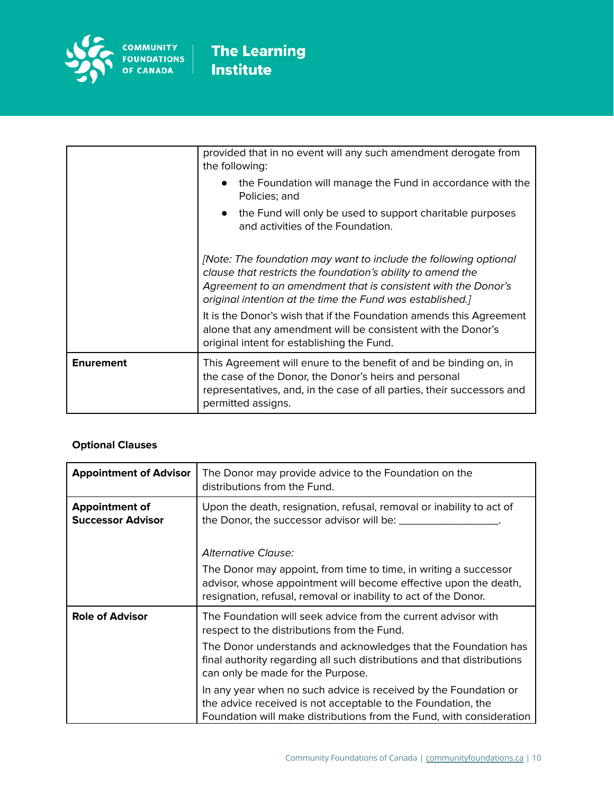

|                  | provided that in no event will any such amendment derogate from<br>the following:                                                                                                                                                                             |
|------------------|---------------------------------------------------------------------------------------------------------------------------------------------------------------------------------------------------------------------------------------------------------------|
|                  | • the Foundation will manage the Fund in accordance with the<br>Policies; and                                                                                                                                                                                 |
|                  | • the Fund will only be used to support charitable purposes<br>and activities of the Foundation.                                                                                                                                                              |
|                  | [Note: The foundation may want to include the following optional<br>clause that restricts the foundation's ability to amend the<br>Agreement to an amendment that is consistent with the Donor's<br>original intention at the time the Fund was established.] |
|                  | It is the Donor's wish that if the Foundation amends this Agreement<br>alone that any amendment will be consistent with the Donor's<br>original intent for establishing the Fund.                                                                             |
| <b>Enurement</b> | This Agreement will enure to the benefit of and be binding on, in<br>the case of the Donor, the Donor's heirs and personal<br>representatives, and, in the case of all parties, their successors and<br>permitted assigns.                                    |

### **Optional Clauses**

| <b>Appointment of Advisor</b>                     | The Donor may provide advice to the Foundation on the<br>distributions from the Fund.                                                                                                                    |
|---------------------------------------------------|----------------------------------------------------------------------------------------------------------------------------------------------------------------------------------------------------------|
| <b>Appointment of</b><br><b>Successor Advisor</b> | Upon the death, resignation, refusal, removal or inability to act of<br>the Donor, the successor advisor will be: ___                                                                                    |
|                                                   | <b>Alternative Clause:</b>                                                                                                                                                                               |
|                                                   | The Donor may appoint, from time to time, in writing a successor<br>advisor, whose appointment will become effective upon the death,<br>resignation, refusal, removal or inability to act of the Donor.  |
| <b>Role of Advisor</b>                            | The Foundation will seek advice from the current advisor with<br>respect to the distributions from the Fund.                                                                                             |
|                                                   | The Donor understands and acknowledges that the Foundation has<br>final authority regarding all such distributions and that distributions<br>can only be made for the Purpose.                           |
|                                                   | In any year when no such advice is received by the Foundation or<br>the advice received is not acceptable to the Foundation, the<br>Foundation will make distributions from the Fund, with consideration |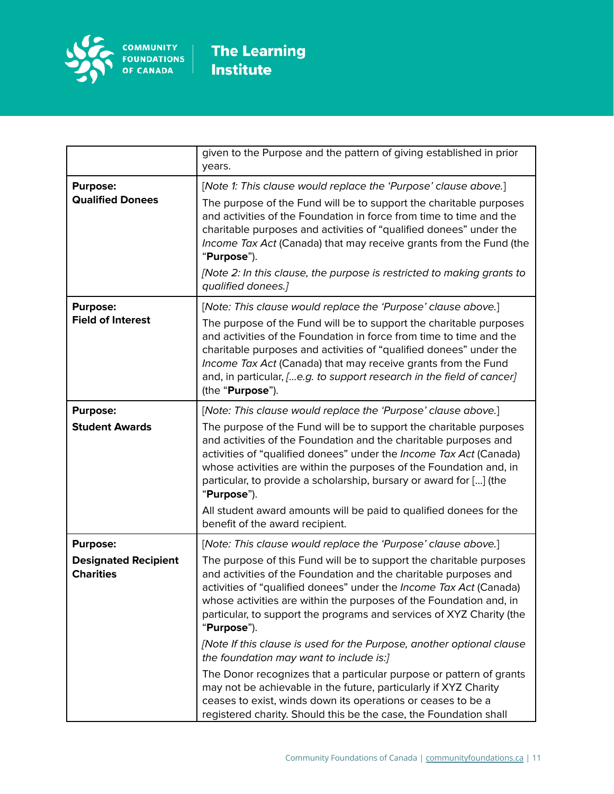

|                                                                    | given to the Purpose and the pattern of giving established in prior<br>years.                                                                                                                                                                                                                                                                                                                                                                                                                                                                                                                                                                                                                                                                                                                                                                          |
|--------------------------------------------------------------------|--------------------------------------------------------------------------------------------------------------------------------------------------------------------------------------------------------------------------------------------------------------------------------------------------------------------------------------------------------------------------------------------------------------------------------------------------------------------------------------------------------------------------------------------------------------------------------------------------------------------------------------------------------------------------------------------------------------------------------------------------------------------------------------------------------------------------------------------------------|
| <b>Purpose:</b><br><b>Qualified Donees</b>                         | [Note 1: This clause would replace the 'Purpose' clause above.]<br>The purpose of the Fund will be to support the charitable purposes<br>and activities of the Foundation in force from time to time and the<br>charitable purposes and activities of "qualified donees" under the<br>Income Tax Act (Canada) that may receive grants from the Fund (the<br>"Purpose").<br>[Note 2: In this clause, the purpose is restricted to making grants to<br>qualified donees.]                                                                                                                                                                                                                                                                                                                                                                                |
| <b>Purpose:</b><br><b>Field of Interest</b>                        | [Note: This clause would replace the 'Purpose' clause above.]<br>The purpose of the Fund will be to support the charitable purposes<br>and activities of the Foundation in force from time to time and the<br>charitable purposes and activities of "qualified donees" under the<br>Income Tax Act (Canada) that may receive grants from the Fund<br>and, in particular, [e.g. to support research in the field of cancer]<br>(the "Purpose").                                                                                                                                                                                                                                                                                                                                                                                                         |
| <b>Purpose:</b><br><b>Student Awards</b>                           | [Note: This clause would replace the 'Purpose' clause above.]<br>The purpose of the Fund will be to support the charitable purposes<br>and activities of the Foundation and the charitable purposes and<br>activities of "qualified donees" under the Income Tax Act (Canada)<br>whose activities are within the purposes of the Foundation and, in<br>particular, to provide a scholarship, bursary or award for [] (the<br>"Purpose").<br>All student award amounts will be paid to qualified donees for the<br>benefit of the award recipient.                                                                                                                                                                                                                                                                                                      |
| <b>Purpose:</b><br><b>Designated Recipient</b><br><b>Charities</b> | [Note: This clause would replace the 'Purpose' clause above.]<br>The purpose of this Fund will be to support the charitable purposes<br>and activities of the Foundation and the charitable purposes and<br>activities of "qualified donees" under the <i>Income Tax Act (Canada)</i><br>whose activities are within the purposes of the Foundation and, in<br>particular, to support the programs and services of XYZ Charity (the<br>"Purpose").<br>[Note If this clause is used for the Purpose, another optional clause<br>the foundation may want to include is:]<br>The Donor recognizes that a particular purpose or pattern of grants<br>may not be achievable in the future, particularly if XYZ Charity<br>ceases to exist, winds down its operations or ceases to be a<br>registered charity. Should this be the case, the Foundation shall |